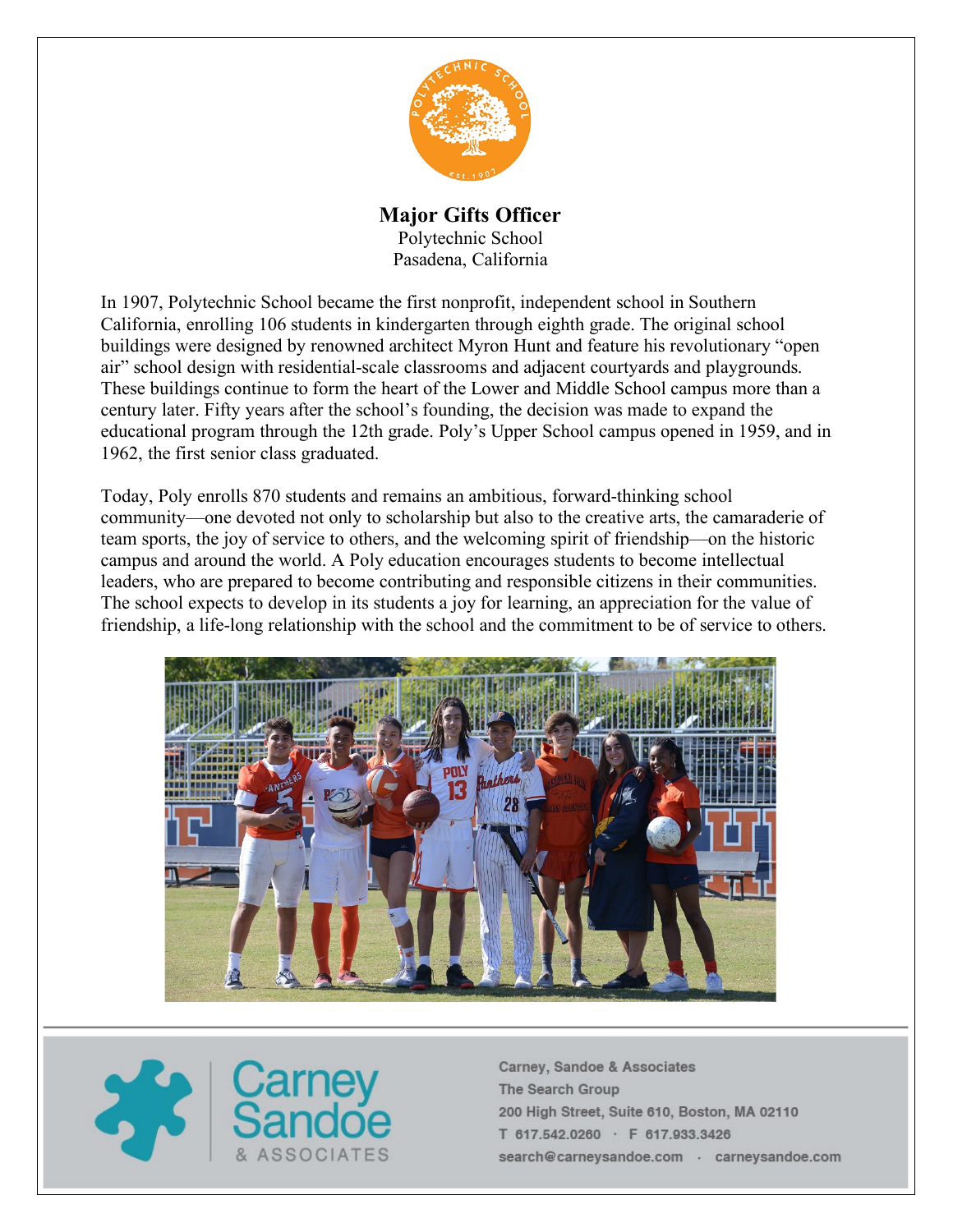

# **Major Gifts Officer**

Polytechnic School Pasadena, California

In 1907, Polytechnic School became the first nonprofit, independent school in Southern California, enrolling 106 students in kindergarten through eighth grade. The original school buildings were designed by renowned architect Myron Hunt and feature his revolutionary "open air" school design with residential-scale classrooms and adjacent courtyards and playgrounds. These buildings continue to form the heart of the Lower and Middle School campus more than a century later. Fifty years after the school's founding, the decision was made to expand the educational program through the 12th grade. Poly's Upper School campus opened in 1959, and in 1962, the first senior class graduated.

Today, Poly enrolls 870 students and remains an ambitious, forward-thinking school community—one devoted not only to scholarship but also to the creative arts, the camaraderie of team sports, the joy of service to others, and the welcoming spirit of friendship—on the historic campus and around the world. A Poly education encourages students to become intellectual leaders, who are prepared to become contributing and responsible citizens in their communities. The school expects to develop in its students a joy for learning, an appreciation for the value of friendship, a life-long relationship with the school and the commitment to be of service to others.



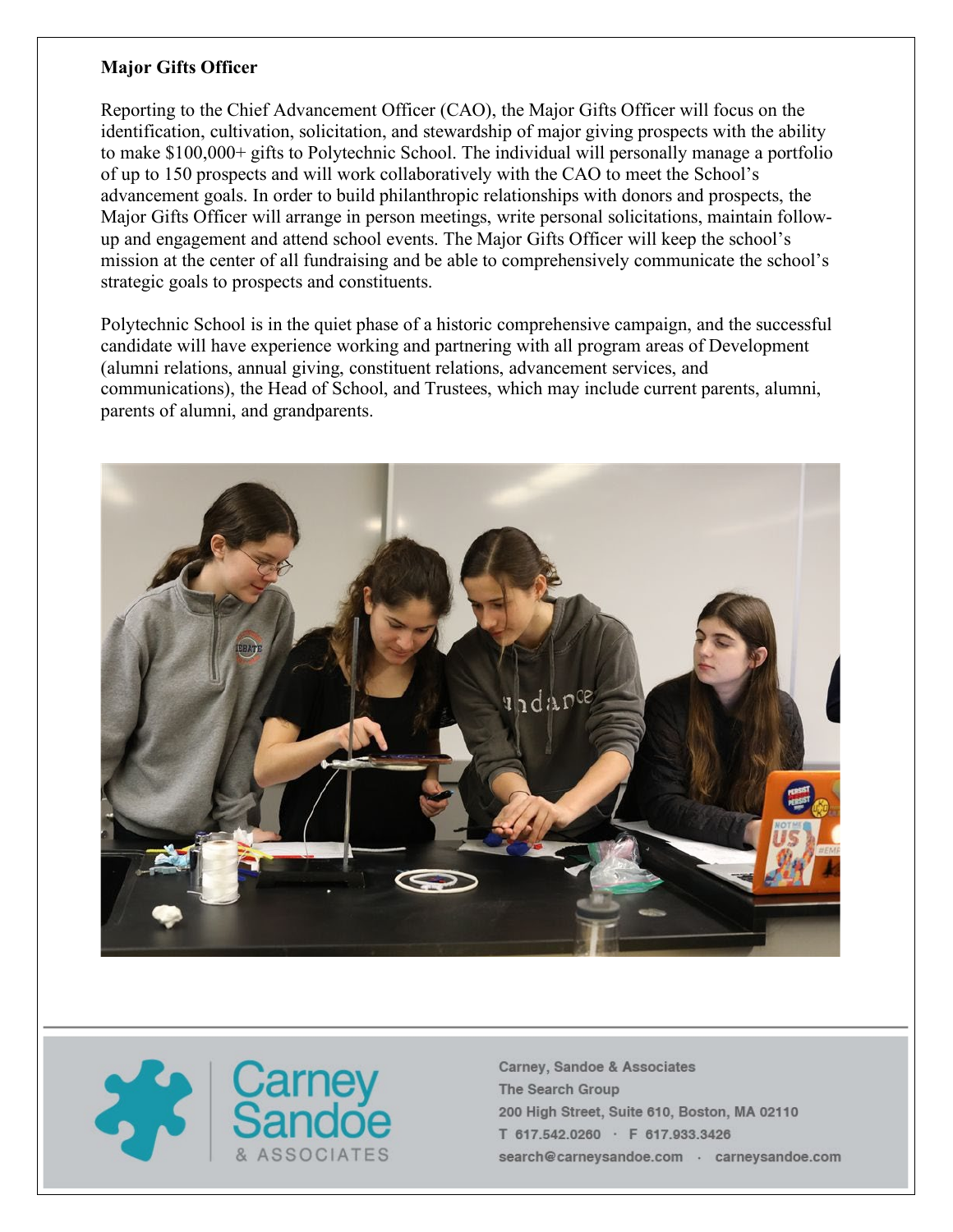#### **Major Gifts Officer**

Reporting to the Chief Advancement Officer (CAO), the Major Gifts Officer will focus on the identification, cultivation, solicitation, and stewardship of major giving prospects with the ability to make \$100,000+ gifts to Polytechnic School. The individual will personally manage a portfolio of up to 150 prospects and will work collaboratively with the CAO to meet the School's advancement goals. In order to build philanthropic relationships with donors and prospects, the Major Gifts Officer will arrange in person meetings, write personal solicitations, maintain followup and engagement and attend school events. The Major Gifts Officer will keep the school's mission at the center of all fundraising and be able to comprehensively communicate the school's strategic goals to prospects and constituents.

Polytechnic School is in the quiet phase of a historic comprehensive campaign, and the successful candidate will have experience working and partnering with all program areas of Development (alumni relations, annual giving, constituent relations, advancement services, and communications), the Head of School, and Trustees, which may include current parents, alumni, parents of alumni, and grandparents.



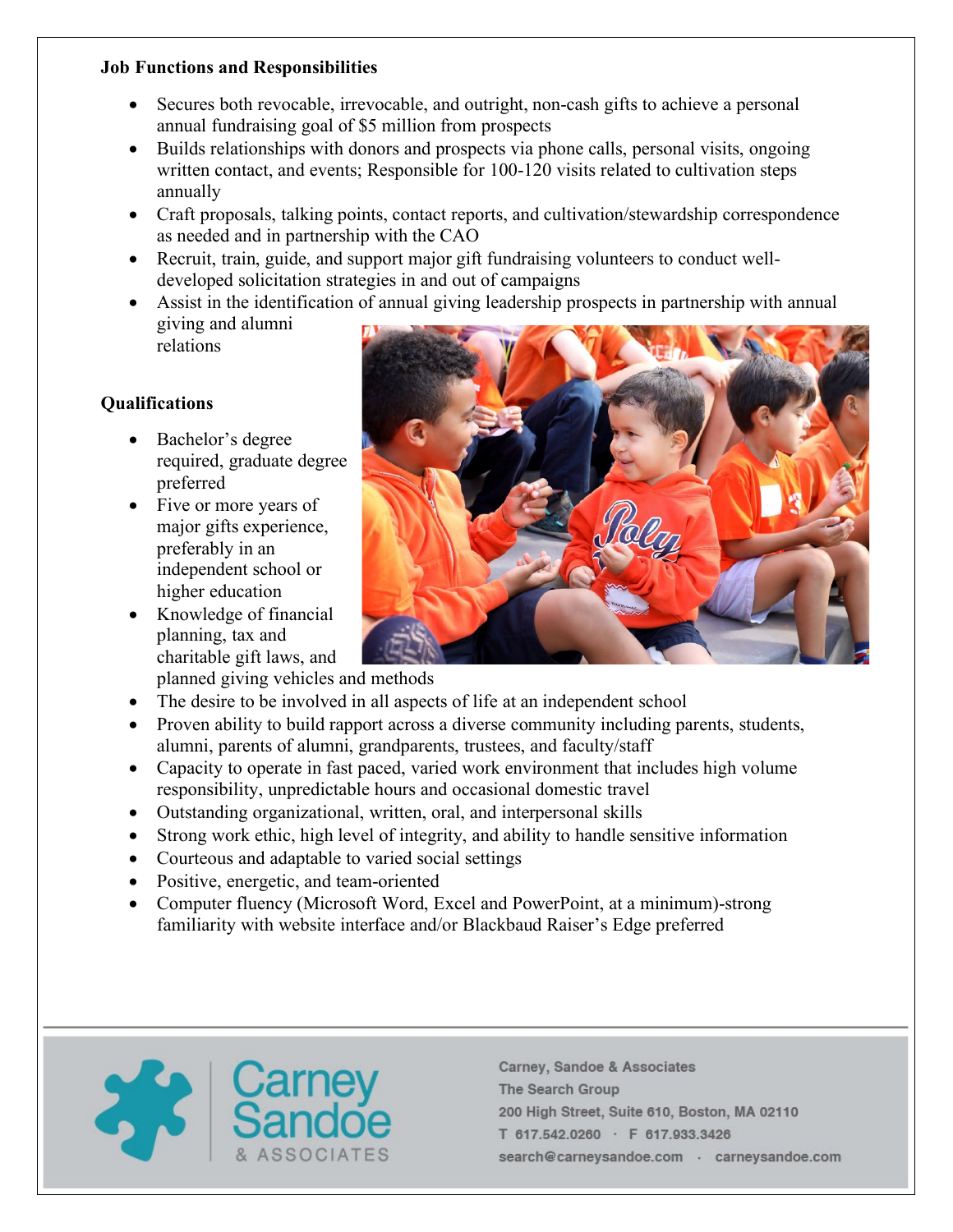### **Job Functions and Responsibilities**

- Secures both revocable, irrevocable, and outright, non-cash gifts to achieve a personal annual fundraising goal of \$5 million from prospects
- Builds relationships with donors and prospects via phone calls, personal visits, ongoing written contact, and events; Responsible for 100-120 visits related to cultivation steps annually
- Craft proposals, talking points, contact reports, and cultivation/stewardship correspondence as needed and in partnership with the CAO
- Recruit, train, guide, and support major gift fundraising volunteers to conduct welldeveloped solicitation strategies in and out of campaigns
- Assist in the identification of annual giving leadership prospects in partnership with annual giving and alumni relations

## **Qualifications**

- Bachelor's degree required, graduate degree preferred
- Five or more years of major gifts experience, preferably in an independent school or higher education
- Knowledge of financial planning, tax and charitable gift laws, and



- planned giving vehicles and methods
- The desire to be involved in all aspects of life at an independent school
- Proven ability to build rapport across a diverse community including parents, students, alumni, parents of alumni, grandparents, trustees, and faculty/staff
- Capacity to operate in fast paced, varied work environment that includes high volume responsibility, unpredictable hours and occasional domestic travel
- Outstanding organizational, written, oral, and interpersonal skills
- Strong work ethic, high level of integrity, and ability to handle sensitive information
- Courteous and adaptable to varied social settings
- Positive, energetic, and team-oriented
- Computer fluency (Microsoft Word, Excel and PowerPoint, at a minimum)-strong familiarity with website interface and/or Blackbaud Raiser's Edge preferred